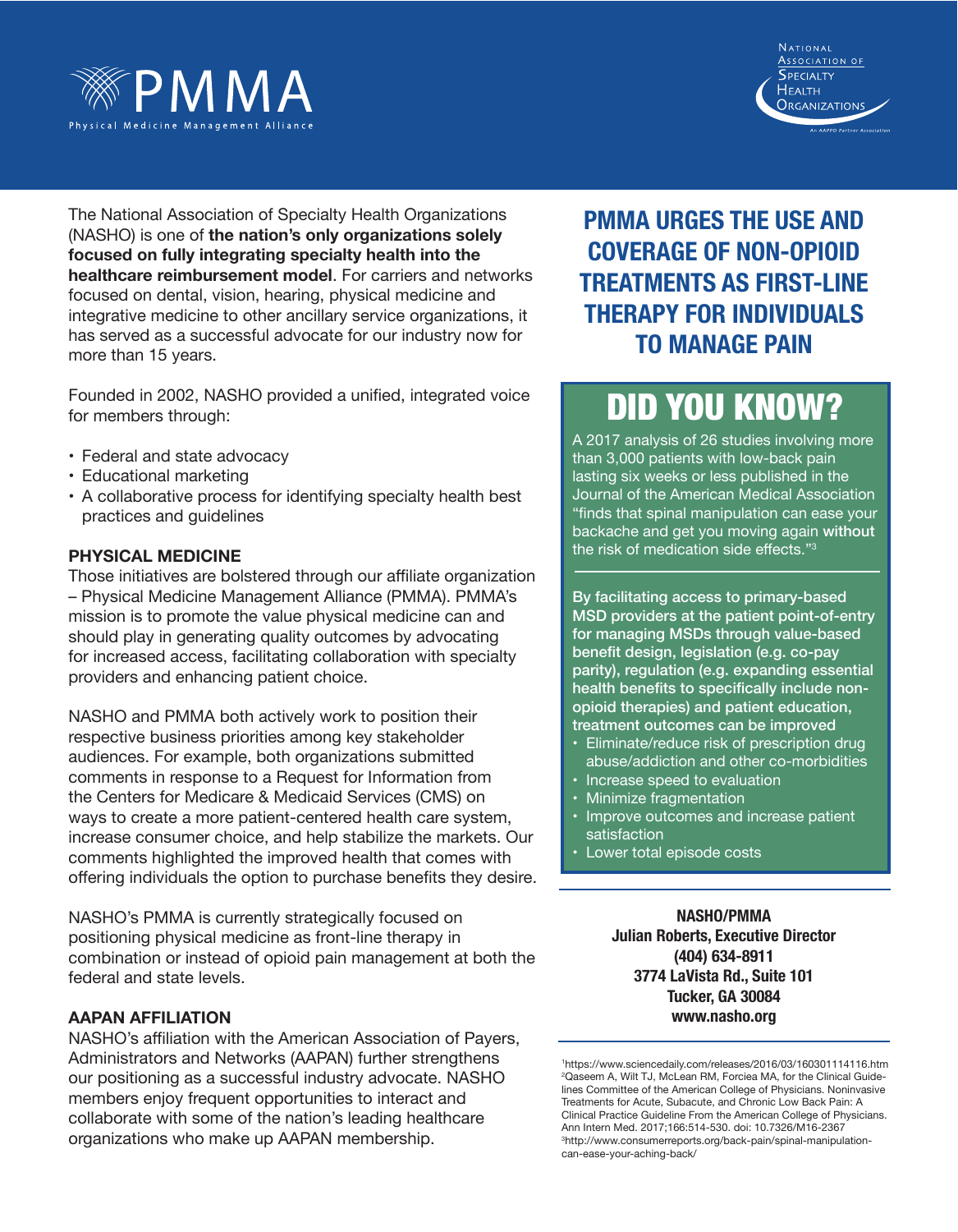



The National Association of Specialty Health Organizations (NASHO) is one of **the nation's only organizations solely focused on fully integrating specialty health into the healthcare reimbursement model**. For carriers and networks focused on dental, vision, hearing, physical medicine and integrative medicine to other ancillary service organizations, it has served as a successful advocate for our industry now for more than 15 years.

Founded in 2002, NASHO provided a unified, integrated voice for members through:

- Federal and state advocacy
- Educational marketing
- A collaborative process for identifying specialty health best practices and guidelines

### **Physical Medicine**

Those initiatives are bolstered through our affiliate organization – Physical Medicine Management Alliance (PMMA). PMMA's mission is to promote the value physical medicine can and should play in generating quality outcomes by advocating for increased access, facilitating collaboration with specialty providers and enhancing patient choice.

NASHO and PMMA both actively work to position their respective business priorities among key stakeholder audiences. For example, both organizations submitted comments in response to a Request for Information from the Centers for Medicare & Medicaid Services (CMS) on ways to create a more patient-centered health care system, increase consumer choice, and help stabilize the markets. Our comments highlighted the improved health that comes with offering individuals the option to purchase benefits they desire.

NASHO's PMMA is currently strategically focused on positioning physical medicine as front-line therapy in combination or instead of opioid pain management at both the federal and state levels.

### **AAPAN Affiliation**

NASHO's affiliation with the American Association of Payers, Administrators and Networks (AAPAN) further strengthens our positioning as a successful industry advocate. NASHO members enjoy frequent opportunities to interact and collaborate with some of the nation's leading healthcare organizations who make up AAPAN membership.

### **PMMA urges the use and coverage of non-opioid treatments as first-line therapy for individuals to manage pain**

# did you know?

A 2017 analysis of 26 studies involving more than 3,000 patients with low-back pain lasting six weeks or less published in the Journal of the American Medical Association "finds that spinal manipulation can ease your backache and get you moving again without the risk of medication side effects."<sup>3</sup>

By facilitating access to primary-based MSD providers at the patient point-of-entry for managing MSDs through value-based benefit design, legislation (e.g. co-pay parity), regulation (e.g. expanding essential health benefits to specifically include nonopioid therapies) and patient education, treatment outcomes can be improved

- Eliminate/reduce risk of prescription drug abuse/addiction and other co-morbidities
- Increase speed to evaluation
- Minimize fragmentation
- Improve outcomes and increase patient satisfaction
- Lower total episode costs

**NASHO/PMMA Julian Roberts, Executive Director (404) 634-8911 3774 LaVista Rd., Suite 101 Tucker, GA 30084 www.nasho.org**

1 https://www.sciencedaily.com/releases/2016/03/160301114116.htm 2 Qaseem A, Wilt TJ, McLean RM, Forciea MA, for the Clinical Guidelines Committee of the American College of Physicians. Noninvasive Treatments for Acute, Subacute, and Chronic Low Back Pain: A Clinical Practice Guideline From the American College of Physicians. Ann Intern Med. 2017;166:514-530. doi: 10.7326/M16-2367 3 http://www.consumerreports.org/back-pain/spinal-manipulationcan-ease-your-aching-back/